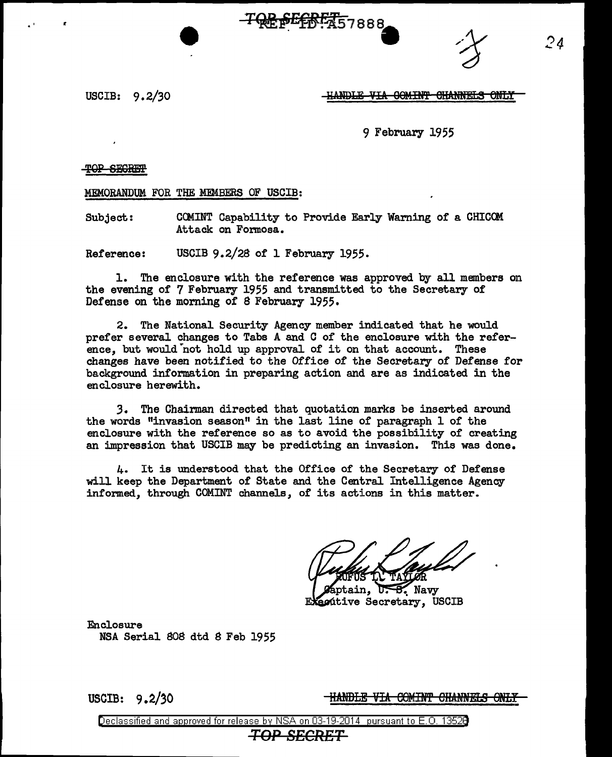SE OF THE 7888



USCIB: 9. 2/30

<u>-HANDLE VIA COMINT CHANNELS ONLY</u>

9 February 1955

TOP SEGREEP

MEMORANDUM FOR THE MEMBERS OF USCIB:

Subject: CCMINT Capability to Provide Early Warning of a CHICOM Attack on Formosa.

Reference: USCIB 9.2/28 of 1 February 1955.

1. The enclosure with the reference was approved by all members on the evening of 7 February 1955 and transmitted to the Secretary of Defense on the morning of 8 February 1955.

2. The National Security Agency member indicated that he would prefer several changes to Tabs A and C of the enclosure with the reference, but would not hold up approval of it on that account. These changes have been notified to the Office of the Secretary of Defense for background information in preparing action and are as indicated in the enclosure herewith.

*3.* The Chairman directed that quotation marks be inserted around the words "invasion season" in the last line of paragraph 1 of the enclosure with the reference so as to avoid the possibility of creating an impression that USCIB may be predicting an invasion. This was done.

4. It is understood that the Office of the Secretary of Defense will keep the Department of State and the Central Intelligence Agency informed, through COMINT channels, of its actions in this matter.

 $U - B$ . Navy ptain. ecútive Secretary, USCIB

Enclosure NSA Serial 808 dtd 8 Feb 1955

USCIB: 9.2/30 **HANDLE VIA COMINT CHANNELS ONLY**<br>Declassified and approved for release by NSA on 03-19-2014 pursuant to E.O. 1352B

## *TOP SECRET*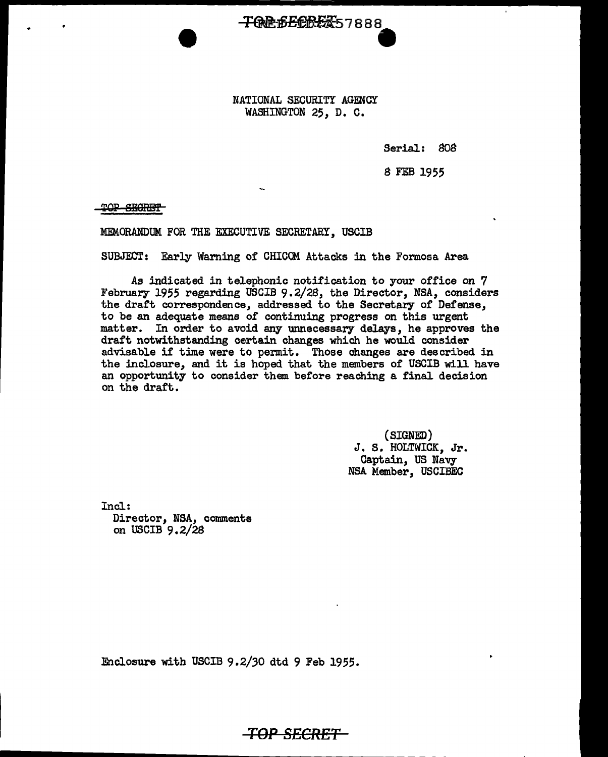NATIONAL SECURITY AGENCY WASHINGTON 25, D. C.

**TOREFERENT**57888

Serial: 808

8 FEB 1955

TOP SEGRET

MEMORANDUM FOR THE EXECUTIVE SECRETARY, USCIB

SUBJECT: Early Warning of CHICOM. Attacks in the Formosa Area

As indicated in telephonic notification to your office on 7 February 1955 regarding USCIB 9.2/28, the Director, NSA, considers the draft correspondence, addressed to the Secretary of Defense, to be an adequate means of continuing progress on this urgent matter. In order to avoid any unnecessary delays, he approves the draft notwithstanding certain changes which he would consider advisable if time were to permit. Those changes are described in the inclosure, and it is hoped that the members of USCIB will have an opportunity to consider them before reaching a final decision on the draft.

> (SIGNED) J. S. HOLTWICK, Jr. Captain, US Navy NSA Member, USCIBEC

Incl: Director, NSA, comments on USCIB 9.2/28

Enclosure with USCIB 9.2/30 dtd 9 Feb 1955.

*TOP* **SECRET**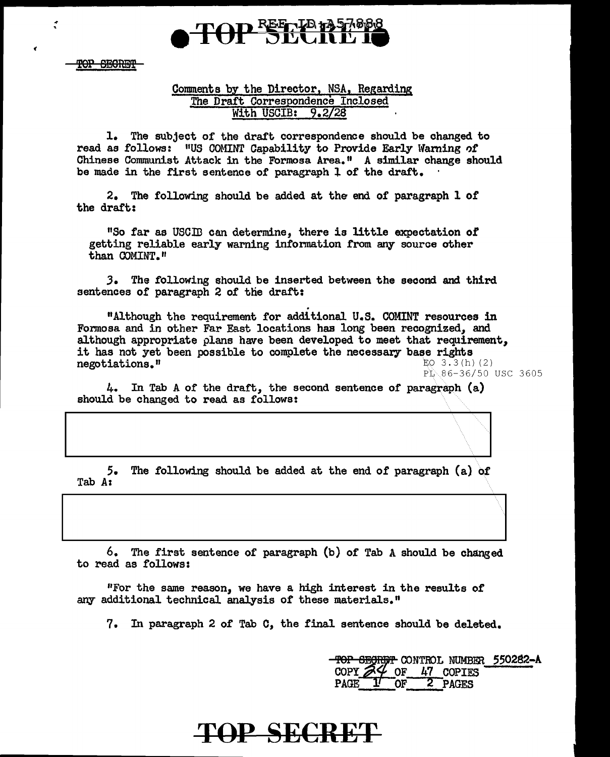

TOP SECRET

.. .

## Comments by the Director, NSA, Regarding The Draft Correspondence Inclosed With USCIB: 9.2/28

1. The subject of the draft correspondence should be changed to read as follows: "US COMINT Capability to Provide Early Warning of Chinese Communist Attack in the Formosa Area. 11 A similar change should be made in the first sentence of paragraph l of the draft.

2. The following should be added at the end of paragraph 1 of the draft:

<sup>11</sup>So far as USCID can determine, there is little expectation *ot*  getting reliable early warning information from *aqy* source other than COMINT."

*3.* The following should be inserted between the second and third sentences of paragraph 2 of the draft:

. "Although the requirement for additional U.S. COMINT resources in Formosa and in other Far East locations has long been recognized, and although appropriate plans have been developed to meet that requirement, it has not yet been possible to complete the necessary base rights negotiations." EQ 3.3(h) (2)  $P_L 86-36/50$  USC 3605

4. In Tab A of the draft, the second sentence of paragraph (a) should be changed to read as follows:

5. The following should be added at the end of paragraph (a) of Tab Az

6. The first sentence of paragraph (b) of Tab A should be changed to read as follows:

"For the same reason, we have a high interest in the results of any additional technical analysis of these materials."

7. In paragraph 2 of Tab C, the final sentence should be deleted.

top segreet control number 550282-A COPY  $\frac{24}{9}$  of  $\frac{47}{2}$  copies<br>PAGE  $\frac{17}{9}$  of  $\frac{27}{9}$  pages 2 PAGES

## TOP SECRET